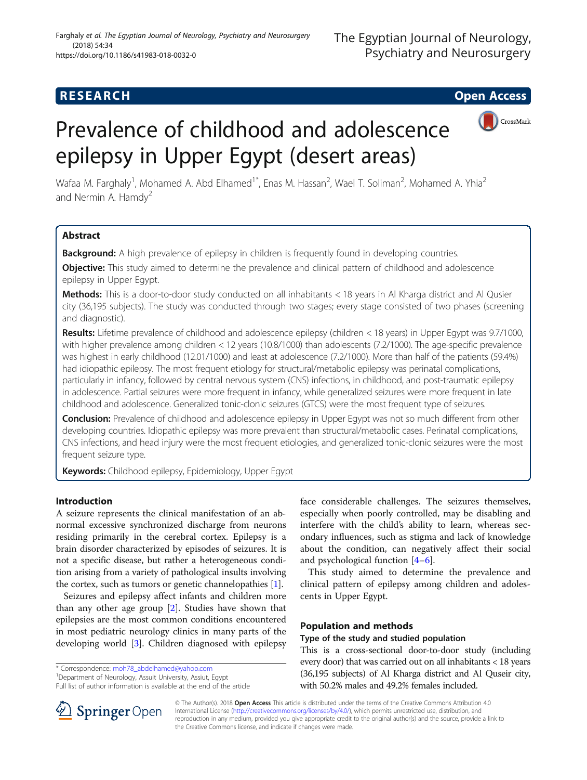# **RESEARCH CHE Open Access**

# Prevalence of childhood and adolescence epilepsy in Upper Egypt (desert areas)



Wafaa M. Farghaly<sup>1</sup>, Mohamed A. Abd Elhamed<sup>1\*</sup>, Enas M. Hassan<sup>2</sup>, Wael T. Soliman<sup>2</sup>, Mohamed A. Yhia<sup>2</sup> and Nermin A. Hamdy<sup>2</sup>

## Abstract

Background: A high prevalence of epilepsy in children is frequently found in developing countries.

**Objective:** This study aimed to determine the prevalence and clinical pattern of childhood and adolescence epilepsy in Upper Egypt.

Methods: This is a door-to-door study conducted on all inhabitants < 18 years in Al Kharga district and Al Qusier city (36,195 subjects). The study was conducted through two stages; every stage consisted of two phases (screening and diagnostic).

Results: Lifetime prevalence of childhood and adolescence epilepsy (children < 18 years) in Upper Egypt was 9.7/1000, with higher prevalence among children < 12 years (10.8/1000) than adolescents (7.2/1000). The age-specific prevalence was highest in early childhood (12.01/1000) and least at adolescence (7.2/1000). More than half of the patients (59.4%) had idiopathic epilepsy. The most frequent etiology for structural/metabolic epilepsy was perinatal complications, particularly in infancy, followed by central nervous system (CNS) infections, in childhood, and post-traumatic epilepsy in adolescence. Partial seizures were more frequent in infancy, while generalized seizures were more frequent in late childhood and adolescence. Generalized tonic-clonic seizures (GTCS) were the most frequent type of seizures.

Conclusion: Prevalence of childhood and adolescence epilepsy in Upper Egypt was not so much different from other developing countries. Idiopathic epilepsy was more prevalent than structural/metabolic cases. Perinatal complications, CNS infections, and head injury were the most frequent etiologies, and generalized tonic-clonic seizures were the most frequent seizure type.

Keywords: Childhood epilepsy, Epidemiology, Upper Egypt

## Introduction

A seizure represents the clinical manifestation of an abnormal excessive synchronized discharge from neurons residing primarily in the cerebral cortex. Epilepsy is a brain disorder characterized by episodes of seizures. It is not a specific disease, but rather a heterogeneous condition arising from a variety of pathological insults involving the cortex, such as tumors or genetic channelopathies [[1](#page-5-0)].

Seizures and epilepsy affect infants and children more than any other age group [[2\]](#page-5-0). Studies have shown that epilepsies are the most common conditions encountered in most pediatric neurology clinics in many parts of the developing world [\[3\]](#page-5-0). Children diagnosed with epilepsy

\* Correspondence: [moh78\\_abdelhamed@yahoo.com](mailto:moh78_abdelhamed@yahoo.com) <sup>1</sup>

Full list of author information is available at the end of the article

face considerable challenges. The seizures themselves, especially when poorly controlled, may be disabling and interfere with the child's ability to learn, whereas secondary influences, such as stigma and lack of knowledge about the condition, can negatively affect their social and psychological function [\[4](#page-5-0)–[6](#page-5-0)].

This study aimed to determine the prevalence and clinical pattern of epilepsy among children and adolescents in Upper Egypt.

## Population and methods

## Type of the study and studied population

This is a cross-sectional door-to-door study (including every door) that was carried out on all inhabitants < 18 years (36,195 subjects) of Al Kharga district and Al Quseir city, with 50.2% males and 49.2% females included.



© The Author(s). 2018 Open Access This article is distributed under the terms of the Creative Commons Attribution 4.0 International License ([http://creativecommons.org/licenses/by/4.0/\)](http://creativecommons.org/licenses/by/4.0/), which permits unrestricted use, distribution, and reproduction in any medium, provided you give appropriate credit to the original author(s) and the source, provide a link to the Creative Commons license, and indicate if changes were made.

<sup>&</sup>lt;sup>1</sup>Department of Neurology, Assuit University, Assiut, Egypt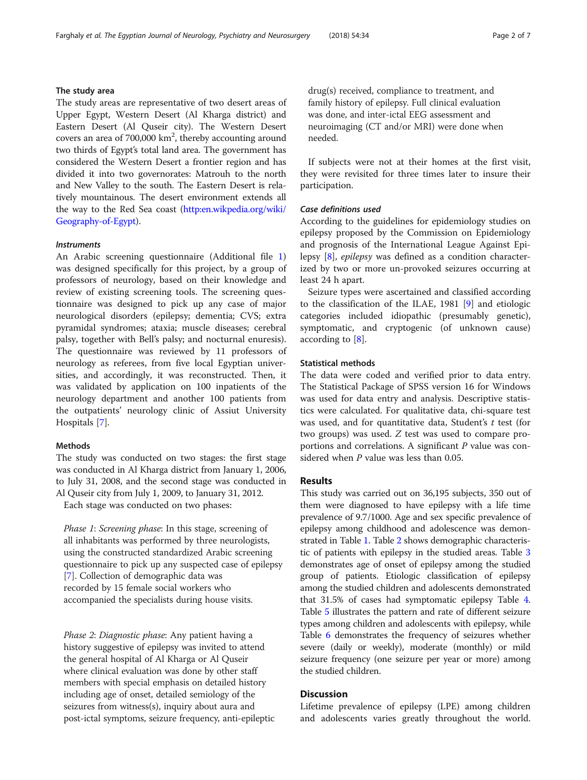## The study area

The study areas are representative of two desert areas of Upper Egypt, Western Desert (Al Kharga district) and Eastern Desert (Al Quseir city). The Western Desert covers an area of  $700,000$  km<sup>2</sup>, thereby accounting around two thirds of Egypt's total land area. The government has considered the Western Desert a frontier region and has divided it into two governorates: Matrouh to the north and New Valley to the south. The Eastern Desert is relatively mountainous. The desert environment extends all the way to the Red Sea coast [\(http:en.wikpedia.org/wiki/](http://en.wikpedia.org/wiki/Geography-of-Egypt) [Geography-of-Egypt\)](http://en.wikpedia.org/wiki/Geography-of-Egypt).

### **Instruments**

An Arabic screening questionnaire (Additional file [1](#page-5-0)) was designed specifically for this project, by a group of professors of neurology, based on their knowledge and review of existing screening tools. The screening questionnaire was designed to pick up any case of major neurological disorders (epilepsy; dementia; CVS; extra pyramidal syndromes; ataxia; muscle diseases; cerebral palsy, together with Bell's palsy; and nocturnal enuresis). The questionnaire was reviewed by 11 professors of neurology as referees, from five local Egyptian universities, and accordingly, it was reconstructed. Then, it was validated by application on 100 inpatients of the neurology department and another 100 patients from the outpatients' neurology clinic of Assiut University Hospitals [[7\]](#page-5-0).

## Methods

The study was conducted on two stages: the first stage was conducted in Al Kharga district from January 1, 2006, to July 31, 2008, and the second stage was conducted in Al Quseir city from July 1, 2009, to January 31, 2012.

Each stage was conducted on two phases:

Phase 1: Screening phase: In this stage, screening of all inhabitants was performed by three neurologists, using the constructed standardized Arabic screening questionnaire to pick up any suspected case of epilepsy [[7\]](#page-5-0). Collection of demographic data was recorded by 15 female social workers who accompanied the specialists during house visits.

Phase 2: Diagnostic phase: Any patient having a history suggestive of epilepsy was invited to attend the general hospital of Al Kharga or Al Quseir where clinical evaluation was done by other staff members with special emphasis on detailed history including age of onset, detailed semiology of the seizures from witness(s), inquiry about aura and post-ictal symptoms, seizure frequency, anti-epileptic drug(s) received, compliance to treatment, and family history of epilepsy. Full clinical evaluation was done, and inter-ictal EEG assessment and neuroimaging (CT and/or MRI) were done when needed.

If subjects were not at their homes at the first visit, they were revisited for three times later to insure their participation.

#### Case definitions used

According to the guidelines for epidemiology studies on epilepsy proposed by the Commission on Epidemiology and prognosis of the International League Against Epilepsy [\[8\]](#page-5-0), epilepsy was defined as a condition characterized by two or more un-provoked seizures occurring at least 24 h apart.

Seizure types were ascertained and classified according to the classification of the ILAE, 1981 [\[9\]](#page-5-0) and etiologic categories included idiopathic (presumably genetic), symptomatic, and cryptogenic (of unknown cause) according to [[8\]](#page-5-0).

#### Statistical methods

The data were coded and verified prior to data entry. The Statistical Package of SPSS version 16 for Windows was used for data entry and analysis. Descriptive statistics were calculated. For qualitative data, chi-square test was used, and for quantitative data, Student's t test (for two groups) was used. Z test was used to compare proportions and correlations. A significant  $P$  value was considered when P value was less than 0.05.

## Results

This study was carried out on 36,195 subjects, 350 out of them were diagnosed to have epilepsy with a life time prevalence of 9.7/1000. Age and sex specific prevalence of epilepsy among childhood and adolescence was demonstrated in Table [1.](#page-2-0) Table [2](#page-2-0) shows demographic characteristic of patients with epilepsy in the studied areas. Table [3](#page-3-0) demonstrates age of onset of epilepsy among the studied group of patients. Etiologic classification of epilepsy among the studied children and adolescents demonstrated that 31.5% of cases had symptomatic epilepsy Table [4](#page-3-0). Table [5](#page-4-0) illustrates the pattern and rate of different seizure types among children and adolescents with epilepsy, while Table [6](#page-4-0) demonstrates the frequency of seizures whether severe (daily or weekly), moderate (monthly) or mild seizure frequency (one seizure per year or more) among the studied children.

## **Discussion**

Lifetime prevalence of epilepsy (LPE) among children and adolescents varies greatly throughout the world.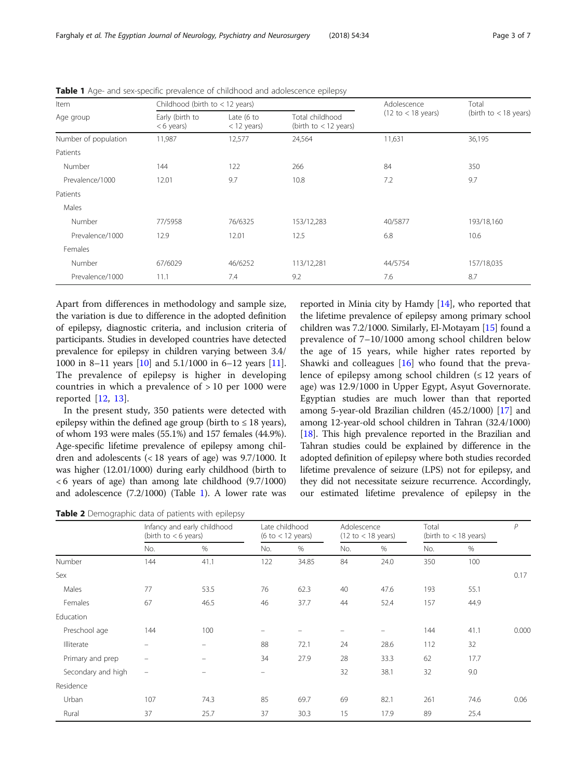<span id="page-2-0"></span>Farghaly et al. The Egyptian Journal of Neurology, Psychiatry and Neurosurgery (2018) 54:34 Page 3 of 7

| Item                 | Childhood (birth to $<$ 12 years) |                                        | Adolescence                                | Total                                 |                         |
|----------------------|-----------------------------------|----------------------------------------|--------------------------------------------|---------------------------------------|-------------------------|
| Age group            | Early (birth to<br>$< 6$ years)   | Late $(6 \text{ to }$<br>$<$ 12 years) | Total childhood<br>(birth to $<$ 12 years) | $(12 \text{ to } < 18 \text{ years})$ | (birth to $<$ 18 years) |
| Number of population | 11,987                            | 12,577                                 | 24,564                                     | 11,631                                | 36,195                  |
| Patients             |                                   |                                        |                                            |                                       |                         |
| Number               | 144                               | 122                                    | 266                                        | 84                                    | 350                     |
| Prevalence/1000      | 12.01                             | 9.7                                    | 10.8                                       | 7.2                                   | 9.7                     |
| Patients             |                                   |                                        |                                            |                                       |                         |
| Males                |                                   |                                        |                                            |                                       |                         |
| Number               | 77/5958                           | 76/6325                                | 153/12,283                                 | 40/5877                               | 193/18,160              |
| Prevalence/1000      | 12.9                              | 12.01                                  | 12.5                                       | 6.8                                   | 10.6                    |
| Females              |                                   |                                        |                                            |                                       |                         |
| Number               | 67/6029                           | 46/6252                                | 113/12,281                                 | 44/5754                               | 157/18,035              |
| Prevalence/1000      | 11.1                              | 7.4                                    | 9.2                                        | 7.6                                   | 8.7                     |

**Table 1** Age- and sex-specific prevalence of childhood and adolescence epilepsy

Apart from differences in methodology and sample size, the variation is due to difference in the adopted definition of epilepsy, diagnostic criteria, and inclusion criteria of participants. Studies in developed countries have detected prevalence for epilepsy in children varying between 3.4/ 1000 in 8–11 years [\[10\]](#page-5-0) and 5.1/1000 in 6–12 years [[11](#page-5-0)]. The prevalence of epilepsy is higher in developing countries in which a prevalence of > 10 per 1000 were reported [\[12](#page-5-0), [13\]](#page-5-0).

In the present study, 350 patients were detected with epilepsy within the defined age group (birth to  $\leq 18$  years), of whom 193 were males (55.1%) and 157 females (44.9%). Age-specific lifetime prevalence of epilepsy among children and adolescents (< 18 years of age) was 9.7/1000. It was higher (12.01/1000) during early childhood (birth to < 6 years of age) than among late childhood (9.7/1000) and adolescence (7.2/1000) (Table 1). A lower rate was reported in Minia city by Hamdy [[14](#page-6-0)], who reported that the lifetime prevalence of epilepsy among primary school children was 7.2/1000. Similarly, El-Motayam [\[15](#page-6-0)] found a prevalence of 7–10/1000 among school children below the age of 15 years, while higher rates reported by Shawki and colleagues  $[16]$  $[16]$  who found that the prevalence of epilepsy among school children  $(≤ 12$  years of age) was 12.9/1000 in Upper Egypt, Asyut Governorate. Egyptian studies are much lower than that reported among 5-year-old Brazilian children (45.2/1000) [\[17\]](#page-6-0) and among 12-year-old school children in Tahran (32.4/1000) [[18](#page-6-0)]. This high prevalence reported in the Brazilian and Tahran studies could be explained by difference in the adopted definition of epilepsy where both studies recorded lifetime prevalence of seizure (LPS) not for epilepsy, and they did not necessitate seizure recurrence. Accordingly, our estimated lifetime prevalence of epilepsy in the

Table 2 Demographic data of patients with epilepsy

|                    | Infancy and early childhood<br>(birth to $< 6$ years) |                          | Late childhood<br>(6 to $<$ 12 years) |                          | Adolescence<br>$(12 \text{ to} < 18 \text{ years})$ |                          | Total<br>(birth to $<$ 18 years) |      | $\mathcal{P}$ |
|--------------------|-------------------------------------------------------|--------------------------|---------------------------------------|--------------------------|-----------------------------------------------------|--------------------------|----------------------------------|------|---------------|
|                    | No.                                                   | $\%$                     | No.                                   | %                        | No.                                                 | %                        | No.                              | %    |               |
| Number             | 144                                                   | 41.1                     | 122                                   | 34.85                    | 84                                                  | 24.0                     | 350                              | 100  |               |
| Sex                |                                                       |                          |                                       |                          |                                                     |                          |                                  |      | 0.17          |
| Males              | 77                                                    | 53.5                     | 76                                    | 62.3                     | 40                                                  | 47.6                     | 193                              | 55.1 |               |
| Females            | 67                                                    | 46.5                     | 46                                    | 37.7                     | 44                                                  | 52.4                     | 157                              | 44.9 |               |
| Education          |                                                       |                          |                                       |                          |                                                     |                          |                                  |      |               |
| Preschool age      | 144                                                   | 100                      | $\overline{\phantom{0}}$              | $\overline{\phantom{m}}$ | -                                                   | $\overline{\phantom{m}}$ | 144                              | 41.1 | 0.000         |
| Illiterate         | $\overline{\phantom{0}}$                              | $\overline{\phantom{0}}$ | 88                                    | 72.1                     | 24                                                  | 28.6                     | 112                              | 32   |               |
| Primary and prep   | $\overline{\phantom{m}}$                              | $\overline{\phantom{0}}$ | 34                                    | 27.9                     | 28                                                  | 33.3                     | 62                               | 17.7 |               |
| Secondary and high | $\qquad \qquad =$                                     |                          | $\equiv$                              |                          | 32                                                  | 38.1                     | 32                               | 9.0  |               |
| Residence          |                                                       |                          |                                       |                          |                                                     |                          |                                  |      |               |
| Urban              | 107                                                   | 74.3                     | 85                                    | 69.7                     | 69                                                  | 82.1                     | 261                              | 74.6 | 0.06          |
| Rural              | 37                                                    | 25.7                     | 37                                    | 30.3                     | 15                                                  | 17.9                     | 89                               | 25.4 |               |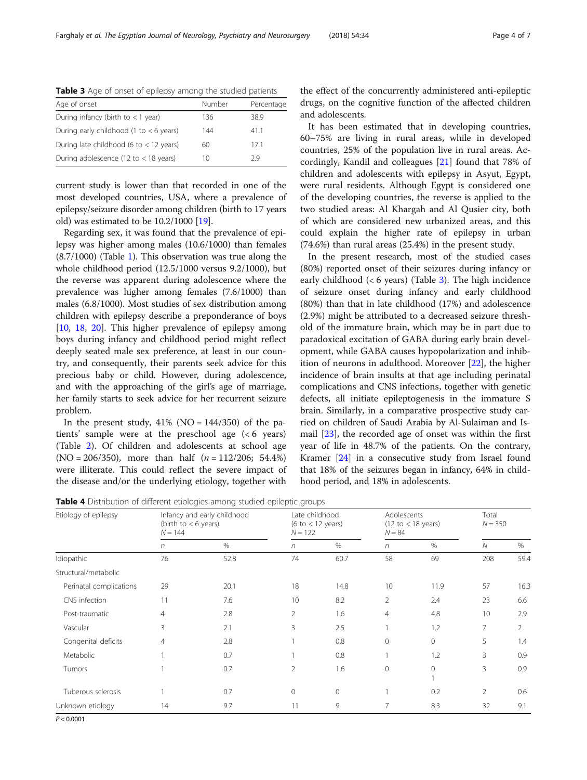<span id="page-3-0"></span>

|  | Table 3 Age of onset of epilepsy among the studied patients |
|--|-------------------------------------------------------------|
|--|-------------------------------------------------------------|

| Age of onset                              | Number | Percentage |
|-------------------------------------------|--------|------------|
| During infancy (birth to $<$ 1 year)      | 136    | 38.9       |
| During early childhood (1 to $<$ 6 years) | 144    | 41.1       |
| During late childhood (6 to $<$ 12 years) | 60     | 171        |
| During adolescence (12 to $<$ 18 years)   | 1()    | 29         |

current study is lower than that recorded in one of the most developed countries, USA, where a prevalence of epilepsy/seizure disorder among children (birth to 17 years old) was estimated to be 10.2/1000 [\[19](#page-6-0)].

Regarding sex, it was found that the prevalence of epilepsy was higher among males (10.6/1000) than females (8.7/1000) (Table [1\)](#page-2-0). This observation was true along the whole childhood period (12.5/1000 versus 9.2/1000), but the reverse was apparent during adolescence where the prevalence was higher among females (7.6/1000) than males (6.8/1000). Most studies of sex distribution among children with epilepsy describe a preponderance of boys [[10,](#page-5-0) [18](#page-6-0), [20\]](#page-6-0). This higher prevalence of epilepsy among boys during infancy and childhood period might reflect deeply seated male sex preference, at least in our country, and consequently, their parents seek advice for this precious baby or child. However, during adolescence, and with the approaching of the girl's age of marriage, her family starts to seek advice for her recurrent seizure problem.

In the present study,  $41\%$  (NO =  $144/350$ ) of the patients' sample were at the preschool age (< 6 years) (Table [2\)](#page-2-0). Of children and adolescents at school age  $(NO = 206/350)$ , more than half  $(n = 112/206; 54.4%)$ were illiterate. This could reflect the severe impact of the disease and/or the underlying etiology, together with

the effect of the concurrently administered anti-epileptic drugs, on the cognitive function of the affected children and adolescents.

It has been estimated that in developing countries, 60–75% are living in rural areas, while in developed countries, 25% of the population live in rural areas. Accordingly, Kandil and colleagues [\[21\]](#page-6-0) found that 78% of children and adolescents with epilepsy in Asyut, Egypt, were rural residents. Although Egypt is considered one of the developing countries, the reverse is applied to the two studied areas: Al Khargah and Al Qusier city, both of which are considered new urbanized areas, and this could explain the higher rate of epilepsy in urban (74.6%) than rural areas (25.4%) in the present study.

In the present research, most of the studied cases (80%) reported onset of their seizures during infancy or early childhood  $(< 6$  years) (Table 3). The high incidence of seizure onset during infancy and early childhood (80%) than that in late childhood (17%) and adolescence (2.9%) might be attributed to a decreased seizure threshold of the immature brain, which may be in part due to paradoxical excitation of GABA during early brain development, while GABA causes hypopolarization and inhibition of neurons in adulthood. Moreover [\[22](#page-6-0)], the higher incidence of brain insults at that age including perinatal complications and CNS infections, together with genetic defects, all initiate epileptogenesis in the immature S brain. Similarly, in a comparative prospective study carried on children of Saudi Arabia by Al-Sulaiman and Ismail [\[23\]](#page-6-0), the recorded age of onset was within the first year of life in 48.7% of the patients. On the contrary, Kramer [[24](#page-6-0)] in a consecutive study from Israel found that 18% of the seizures began in infancy, 64% in childhood period, and 18% in adolescents.

Table 4 Distribution of different etiologies among studied epileptic groups

| Etiology of epilepsy    | (birth to $< 6$ years)<br>$N = 144$ | Infancy and early childhood | Late childhood<br>(6 to $<$ 12 years)<br>$N = 122$ |              | Adolescents<br>$(12 \text{ to} < 18 \text{ years})$<br>$N = 84$ |              | Total<br>$N = 350$ |      |
|-------------------------|-------------------------------------|-----------------------------|----------------------------------------------------|--------------|-----------------------------------------------------------------|--------------|--------------------|------|
|                         | n                                   | %                           | n                                                  | $\%$         | $\eta$                                                          | $\%$         | N                  | %    |
| Idiopathic              | 76                                  | 52.8                        | 74                                                 | 60.7         | 58                                                              | 69           | 208                | 59.4 |
| Structural/metabolic    |                                     |                             |                                                    |              |                                                                 |              |                    |      |
| Perinatal complications | 29                                  | 20.1                        | 18                                                 | 14.8         | 10                                                              | 11.9         | 57                 | 16.3 |
| CNS infection           | 11                                  | 7.6                         | 10                                                 | 8.2          | $\overline{2}$                                                  | 2.4          | 23                 | 6.6  |
| Post-traumatic          | $\overline{4}$                      | 2.8                         | $\overline{2}$                                     | 1.6          | $\overline{4}$                                                  | 4.8          | 10                 | 2.9  |
| Vascular                | 3                                   | 2.1                         | 3                                                  | 2.5          |                                                                 | 1.2          | 7                  | 2    |
| Congenital deficits     | $\overline{4}$                      | 2.8                         |                                                    | 0.8          | $\mathbf{0}$                                                    | $\Omega$     | 5                  | 1.4  |
| Metabolic               |                                     | 0.7                         |                                                    | 0.8          |                                                                 | 1.2          | 3                  | 0.9  |
| Tumors                  |                                     | 0.7                         | 2                                                  | 1.6          | $\mathbf{0}$                                                    | $\mathbf{0}$ | 3                  | 0.9  |
| Tuberous sclerosis      |                                     | 0.7                         | $\Omega$                                           | $\mathbf{0}$ |                                                                 | 0.2          | $\overline{2}$     | 0.6  |
| Unknown etiology        | 14                                  | 9.7                         | 11                                                 | 9            | 7                                                               | 8.3          | 32                 | 9.1  |

 $P < 0.0001$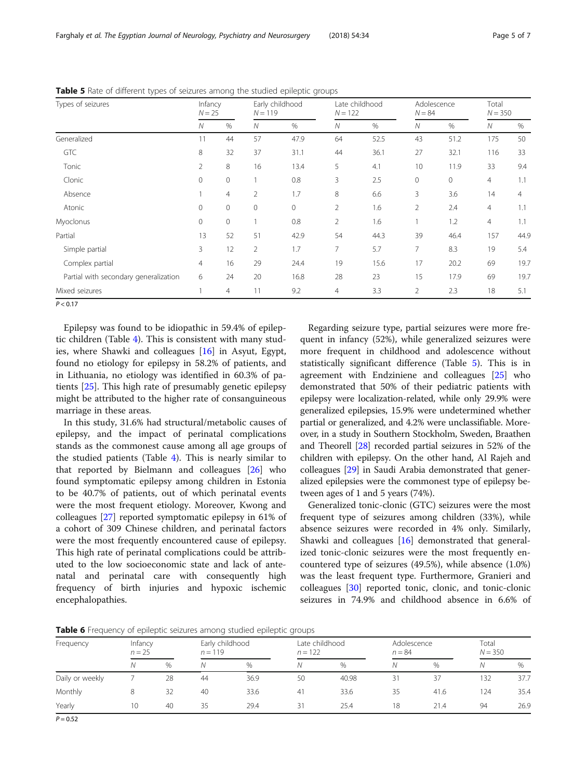Epilepsy was found to be idiopathic in 59.4% of epileptic children (Table [4\)](#page-3-0). This is consistent with many studies, where Shawki and colleagues [\[16](#page-6-0)] in Asyut, Egypt, found no etiology for epilepsy in 58.2% of patients, and in Lithuania, no etiology was identified in 60.3% of patients [[25](#page-6-0)]. This high rate of presumably genetic epilepsy might be attributed to the higher rate of consanguineous marriage in these areas.

In this study, 31.6% had structural/metabolic causes of epilepsy, and the impact of perinatal complications stands as the commonest cause among all age groups of the studied patients (Table [4\)](#page-3-0). This is nearly similar to that reported by Bielmann and colleagues [[26\]](#page-6-0) who found symptomatic epilepsy among children in Estonia to be 40.7% of patients, out of which perinatal events were the most frequent etiology. Moreover, Kwong and colleagues [[27\]](#page-6-0) reported symptomatic epilepsy in 61% of a cohort of 309 Chinese children, and perinatal factors were the most frequently encountered cause of epilepsy. This high rate of perinatal complications could be attributed to the low socioeconomic state and lack of antenatal and perinatal care with consequently high frequency of birth injuries and hypoxic ischemic encephalopathies.

Regarding seizure type, partial seizures were more frequent in infancy (52%), while generalized seizures were more frequent in childhood and adolescence without statistically significant difference (Table 5). This is in agreement with Endziniene and colleagues [[25\]](#page-6-0) who demonstrated that 50% of their pediatric patients with epilepsy were localization-related, while only 29.9% were generalized epilepsies, 15.9% were undetermined whether partial or generalized, and 4.2% were unclassifiable. Moreover, in a study in Southern Stockholm, Sweden, Braathen and Theorell [[28](#page-6-0)] recorded partial seizures in 52% of the children with epilepsy. On the other hand, Al Rajeh and colleagues [\[29\]](#page-6-0) in Saudi Arabia demonstrated that generalized epilepsies were the commonest type of epilepsy between ages of 1 and 5 years (74%).

Generalized tonic-clonic (GTC) seizures were the most frequent type of seizures among children (33%), while absence seizures were recorded in 4% only. Similarly, Shawki and colleagues [[16\]](#page-6-0) demonstrated that generalized tonic-clonic seizures were the most frequently encountered type of seizures (49.5%), while absence (1.0%) was the least frequent type. Furthermore, Granieri and colleagues [\[30](#page-6-0)] reported tonic, clonic, and tonic-clonic seizures in 74.9% and childhood absence in 6.6% of



| Frequency       | Infancy<br>$n = 25$ |    | Early childhood<br>$n = 119$ |      | Late childhood<br>$n = 122$ |       | Adolescence<br>$n = 84$ |      | Total<br>$N = 350$ |      |
|-----------------|---------------------|----|------------------------------|------|-----------------------------|-------|-------------------------|------|--------------------|------|
|                 | Ν                   | %  | N                            | $\%$ | Ν                           | %     | Ν                       | %    | Ν                  | $\%$ |
| Daily or weekly |                     | 28 | 44                           | 36.9 | 50                          | 40.98 | 31                      | 37   | 132                | 37.7 |
| Monthly         | 8                   | 32 | 40                           | 33.6 | 41                          | 33.6  | 35                      | 41.6 | 124                | 35.4 |
| Yearly          | 10                  | 40 | 35                           | 29.4 | 31                          | 25.4  | 18                      | 21.4 | 94                 | 26.9 |

<span id="page-4-0"></span>Table 5 Rate of different types of seizures among the studied epileptic groups

| . .<br>Types of seizures              | Infancy<br>$N = 25$ |                | Early childhood<br>$N = 119$ |             | Late childhood<br>$N = 122$ |      | Adolescence<br>$N = 84$ |      | Total<br>$N = 350$ |      |
|---------------------------------------|---------------------|----------------|------------------------------|-------------|-----------------------------|------|-------------------------|------|--------------------|------|
|                                       | N                   | $\%$           | Ν                            | $\%$        | ${\cal N}$                  | $\%$ | N                       | $\%$ | ${\cal N}$         | $\%$ |
| Generalized                           | 11                  | 44             | 57                           | 47.9        | 64                          | 52.5 | 43                      | 51.2 | 175                | 50   |
| GTC                                   | 8                   | 32             | 37                           | 31.1        | 44                          | 36.1 | 27                      | 32.1 | 116                | 33   |
| Tonic                                 | 2                   | 8              | 16                           | 13.4        | 5                           | 4.1  | 10                      | 11.9 | 33                 | 9.4  |
| Clonic                                | $\mathbf{0}$        | $\circ$        |                              | 0.8         | 3                           | 2.5  | 0                       | 0    | 4                  | 1.1  |
| Absence                               |                     | $\overline{4}$ | $\overline{2}$               | 1.7         | 8                           | 6.6  | 3                       | 3.6  | 14                 | 4    |
| Atonic                                | $\mathbf{0}$        | $\circ$        | 0                            | $\mathbf 0$ | $\overline{2}$              | 1.6  | 2                       | 2.4  | 4                  | 1.1  |
| Myoclonus                             | $\Omega$            | $\circ$        |                              | 0.8         | 2                           | 1.6  |                         | 1.2  | $\overline{4}$     | 1.1  |
| Partial                               | 13                  | 52             | 51                           | 42.9        | 54                          | 44.3 | 39                      | 46.4 | 157                | 44.9 |
| Simple partial                        | 3                   | 12             | $\overline{2}$               | 1.7         | $\overline{7}$              | 5.7  | $\overline{7}$          | 8.3  | 19                 | 5.4  |
| Complex partial                       | 4                   | 16             | 29                           | 24.4        | 19                          | 15.6 | 17                      | 20.2 | 69                 | 19.7 |
| Partial with secondary generalization | 6                   | 24             | 20                           | 16.8        | 28                          | 23   | 15                      | 17.9 | 69                 | 19.7 |
| Mixed seizures                        |                     | $\overline{4}$ | 11                           | 9.2         | $\overline{4}$              | 3.3  | $\overline{2}$          | 2.3  | 18                 | 5.1  |

 $P < 0.17$ 

 $P = 0.52$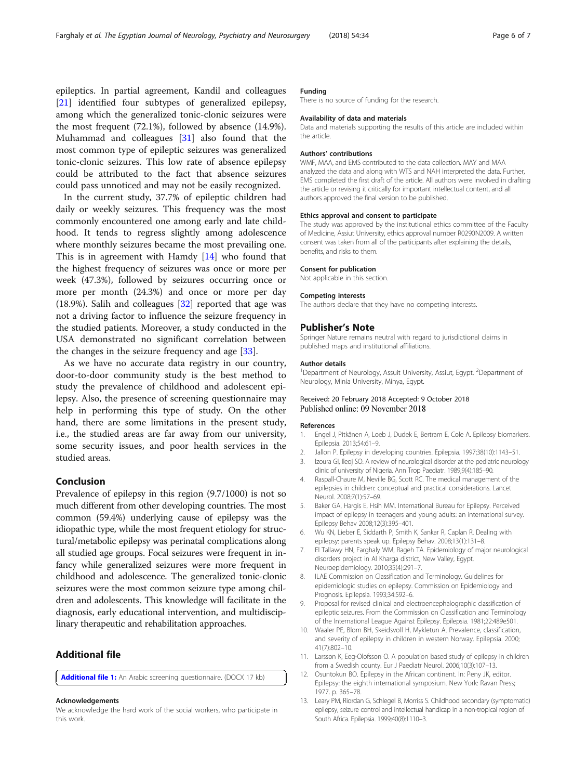<span id="page-5-0"></span>epileptics. In partial agreement, Kandil and colleagues [[21\]](#page-6-0) identified four subtypes of generalized epilepsy, among which the generalized tonic-clonic seizures were the most frequent (72.1%), followed by absence (14.9%). Muhammad and colleagues [[31\]](#page-6-0) also found that the most common type of epileptic seizures was generalized tonic-clonic seizures. This low rate of absence epilepsy could be attributed to the fact that absence seizures could pass unnoticed and may not be easily recognized.

In the current study, 37.7% of epileptic children had daily or weekly seizures. This frequency was the most commonly encountered one among early and late childhood. It tends to regress slightly among adolescence where monthly seizures became the most prevailing one. This is in agreement with Hamdy [[14\]](#page-6-0) who found that the highest frequency of seizures was once or more per week (47.3%), followed by seizures occurring once or more per month (24.3%) and once or more per day (18.9%). Salih and colleagues [\[32](#page-6-0)] reported that age was not a driving factor to influence the seizure frequency in the studied patients. Moreover, a study conducted in the USA demonstrated no significant correlation between the changes in the seizure frequency and age [[33\]](#page-6-0).

As we have no accurate data registry in our country, door-to-door community study is the best method to study the prevalence of childhood and adolescent epilepsy. Also, the presence of screening questionnaire may help in performing this type of study. On the other hand, there are some limitations in the present study, i.e., the studied areas are far away from our university, some security issues, and poor health services in the studied areas.

## Conclusion

Prevalence of epilepsy in this region (9.7/1000) is not so much different from other developing countries. The most common (59.4%) underlying cause of epilepsy was the idiopathic type, while the most frequent etiology for structural/metabolic epilepsy was perinatal complications along all studied age groups. Focal seizures were frequent in infancy while generalized seizures were more frequent in childhood and adolescence. The generalized tonic-clonic seizures were the most common seizure type among children and adolescents. This knowledge will facilitate in the diagnosis, early educational intervention, and multidisciplinary therapeutic and rehabilitation approaches.

## Additional file

[Additional file 1:](https://doi.org/10.1186/s41983-018-0032-0) An Arabic screening questionnaire. (DOCX 17 kb)

#### Acknowledgements

We acknowledge the hard work of the social workers, who participate in this work.

### Funding

There is no source of funding for the research.

#### Availability of data and materials

Data and materials supporting the results of this article are included within the article.

#### Authors' contributions

WMF, MAA, and EMS contributed to the data collection. MAY and MAA analyzed the data and along with WTS and NAH interpreted the data. Further, EMS completed the first draft of the article. All authors were involved in drafting the article or revising it critically for important intellectual content, and all authors approved the final version to be published.

#### Ethics approval and consent to participate

The study was approved by the institutional ethics committee of the Faculty of Medicine, Assiut University, ethics approval number R0290N2009. A written consent was taken from all of the participants after explaining the details, benefits, and risks to them.

#### Consent for publication

Not applicable in this section.

#### Competing interests

The authors declare that they have no competing interests.

#### Publisher's Note

Springer Nature remains neutral with regard to jurisdictional claims in published maps and institutional affiliations.

#### Author details

<sup>1</sup>Department of Neurology, Assuit University, Assiut, Egypt. <sup>2</sup>Department of Neurology, Minia University, Minya, Egypt.

#### Received: 20 February 2018 Accepted: 9 October 2018 Published online: 09 November 2018

#### References

- 1. Engel J, Pitkänen A, Loeb J, Dudek E, Bertram E, Cole A. Epilepsy biomarkers. Epilepsia. 2013;54:61–9.
- 2. Jallon P. Epilepsy in developing countries. Epilepsia. 1997;38(10):1143–51.
- 3. Izoura GI, Ileoj SO. A review of neurological disorder at the pediatric neurology clinic of university of Nigeria. Ann Trop Paediatr. 1989;9(4):185–90.
- 4. Raspall-Chaure M, Neville BG, Scott RC. The medical management of the epilepsies in children: conceptual and practical considerations. Lancet Neurol. 2008;7(1):57–69.
- 5. Baker GA, Hargis E, Hsih MM. International Bureau for Epilepsy. Perceived impact of epilepsy in teenagers and young adults: an international survey. Epilepsy Behav 2008;12(3):395–401.
- 6. Wu KN, Lieber E, Siddarth P, Smith K, Sankar R, Caplan R. Dealing with epilepsy: parents speak up. Epilepsy Behav. 2008;13(1):131–8.
- 7. El Tallawy HN, Farghaly WM, Rageh TA. Epidemiology of major neurological disorders project in Al Kharga district, New Valley, Egypt. Neuroepidemiology. 2010;35(4):291–7.
- ILAE Commission on Classification and Terminology. Guidelines for epidemiologic studies on epilepsy. Commission on Epidemiology and Prognosis. Epilepsia. 1993;34:592–6.
- 9. Proposal for revised clinical and electroencephalographic classification of epileptic seizures. From the Commission on Classification and Terminology of the International League Against Epilepsy. Epilepsia. 1981;22:489e501.
- 10. Waaler PE, Blom BH, Skeidsvoll H, Mykletun A. Prevalence, classification, and severity of epilepsy in children in western Norway. Epilepsia. 2000; 41(7):802–10.
- 11. Larsson K, Eeg-Olofsson O. A population based study of epilepsy in children from a Swedish county. Eur J Paediatr Neurol. 2006;10(3):107–13.
- 12. Osuntokun BO. Epilepsy in the African continent. In: Peny JK, editor. Epilepsy: the eighth international symposium. New York: Ravan Press; 1977. p. 365–78.
- 13. Leary PM, Riordan G, Schlegel B, Morriss S. Childhood secondary (symptomatic) epilepsy, seizure control and intellectual handicap in a non-tropical region of South Africa. Epilepsia. 1999;40(8):1110–3.